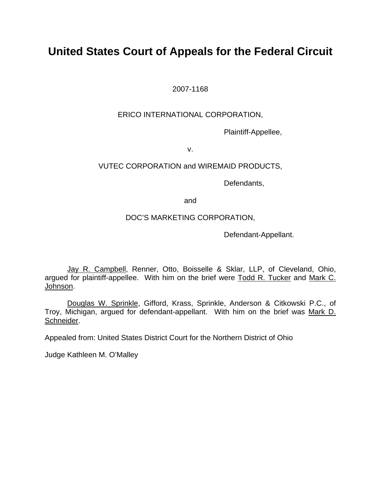# **United States Court of Appeals for the Federal Circuit**

2007-1168

## ERICO INTERNATIONAL CORPORATION,

Plaintiff-Appellee,

v.

## VUTEC CORPORATION and WIREMAID PRODUCTS,

Defendants,

and

## DOC'S MARKETING CORPORATION,

Defendant-Appellant.

 Jay R. Campbell, Renner, Otto, Boisselle & Sklar, LLP, of Cleveland, Ohio, argued for plaintiff-appellee. With him on the brief were Todd R. Tucker and Mark C. Johnson.

 Douglas W. Sprinkle, Gifford, Krass, Sprinkle, Anderson & Citkowski P.C., of Troy, Michigan, argued for defendant-appellant. With him on the brief was Mark D. Schneider.

Appealed from: United States District Court for the Northern District of Ohio

Judge Kathleen M. O'Malley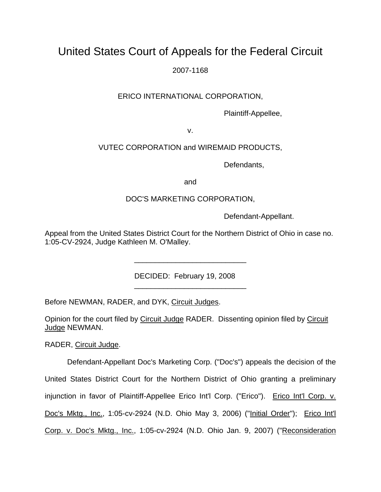# United States Court of Appeals for the Federal Circuit

2007-1168

# ERICO INTERNATIONAL CORPORATION,

Plaintiff-Appellee,

v.

# VUTEC CORPORATION and WIREMAID PRODUCTS,

Defendants,

and

## DOC'S MARKETING CORPORATION,

Defendant-Appellant.

Appeal from the United States District Court for the Northern District of Ohio in case no. 1:05-CV-2924, Judge Kathleen M. O'Malley.

\_\_\_\_\_\_\_\_\_\_\_\_\_\_\_\_\_\_\_\_\_\_\_\_\_\_\_

\_\_\_\_\_\_\_\_\_\_\_\_\_\_\_\_\_\_\_\_\_\_\_\_\_\_\_

DECIDED: February 19, 2008

Before NEWMAN, RADER, and DYK, Circuit Judges.

Opinion for the court filed by Circuit Judge RADER. Dissenting opinion filed by Circuit Judge NEWMAN.

RADER, Circuit Judge.

Defendant-Appellant Doc's Marketing Corp. ("Doc's") appeals the decision of the United States District Court for the Northern District of Ohio granting a preliminary injunction in favor of Plaintiff-Appellee Erico Int'l Corp. ("Erico"). Erico Int'l Corp. v. Doc's Mktg., Inc., 1:05-cv-2924 (N.D. Ohio May 3, 2006) ("Initial Order"); Erico Int'l Corp. v. Doc's Mktg., Inc., 1:05-cv-2924 (N.D. Ohio Jan. 9, 2007) ("Reconsideration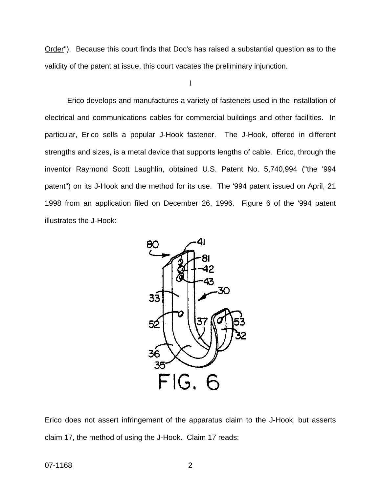Order"). Because this court finds that Doc's has raised a substantial question as to the validity of the patent at issue, this court vacates the preliminary injunction.

I

Erico develops and manufactures a variety of fasteners used in the installation of electrical and communications cables for commercial buildings and other facilities. In particular, Erico sells a popular J-Hook fastener. The J-Hook, offered in different strengths and sizes, is a metal device that supports lengths of cable. Erico, through the inventor Raymond Scott Laughlin, obtained U.S. Patent No. 5,740,994 ("the '994 patent") on its J-Hook and the method for its use. The '994 patent issued on April, 21 1998 from an application filed on December 26, 1996. Figure 6 of the '994 patent illustrates the J-Hook:



Erico does not assert infringement of the apparatus claim to the J-Hook, but asserts claim 17, the method of using the J-Hook. Claim 17 reads: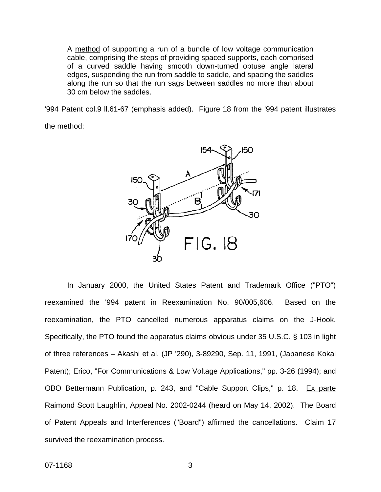A method of supporting a run of a bundle of low voltage communication cable, comprising the steps of providing spaced supports, each comprised of a curved saddle having smooth down-turned obtuse angle lateral edges, suspending the run from saddle to saddle, and spacing the saddles along the run so that the run sags between saddles no more than about 30 cm below the saddles.

'994 Patent col.9 ll.61-67 (emphasis added). Figure 18 from the '994 patent illustrates

the method:



In January 2000, the United States Patent and Trademark Office ("PTO") reexamined the '994 patent in Reexamination No. 90/005,606. Based on the reexamination, the PTO cancelled numerous apparatus claims on the J-Hook. Specifically, the PTO found the apparatus claims obvious under 35 U.S.C. § 103 in light of three references – Akashi et al. (JP '290), 3-89290, Sep. 11, 1991, (Japanese Kokai Patent); Erico, "For Communications & Low Voltage Applications," pp. 3-26 (1994); and OBO Bettermann Publication, p. 243, and "Cable Support Clips," p. 18. Ex parte Raimond Scott Laughlin, Appeal No. 2002-0244 (heard on May 14, 2002). The Board of Patent Appeals and Interferences ("Board") affirmed the cancellations. Claim 17 survived the reexamination process.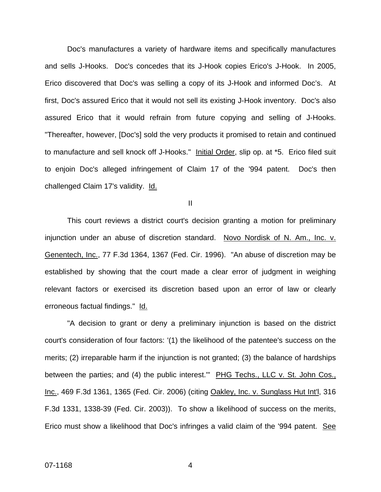Doc's manufactures a variety of hardware items and specifically manufactures and sells J-Hooks. Doc's concedes that its J-Hook copies Erico's J-Hook. In 2005, Erico discovered that Doc's was selling a copy of its J-Hook and informed Doc's. At first, Doc's assured Erico that it would not sell its existing J-Hook inventory. Doc's also assured Erico that it would refrain from future copying and selling of J-Hooks. "Thereafter, however, [Doc's] sold the very products it promised to retain and continued to manufacture and sell knock off J-Hooks." Initial Order, slip op. at \*5. Erico filed suit to enjoin Doc's alleged infringement of Claim 17 of the '994 patent. Doc's then challenged Claim 17's validity. Id.

II

This court reviews a district court's decision granting a motion for preliminary injunction under an abuse of discretion standard. Novo Nordisk of N. Am., Inc. v. Genentech, Inc., 77 F.3d 1364, 1367 (Fed. Cir. 1996). "An abuse of discretion may be established by showing that the court made a clear error of judgment in weighing relevant factors or exercised its discretion based upon an error of law or clearly erroneous factual findings." Id.

"A decision to grant or deny a preliminary injunction is based on the district court's consideration of four factors: '(1) the likelihood of the patentee's success on the merits; (2) irreparable harm if the injunction is not granted; (3) the balance of hardships between the parties; and (4) the public interest." PHG Techs., LLC v. St. John Cos., Inc., 469 F.3d 1361, 1365 (Fed. Cir. 2006) (citing Oakley, Inc. v. Sunglass Hut Int'l[, 316](http://www.westlaw.com/Find/Default.wl?rs=dfa1.0&vr=2.0&DB=506&FindType=Y&ReferencePositionType=S&SerialNum=2003071344&ReferencePosition=1338)  [F.3d 1331, 1338-39 \(Fed. Cir. 2003\)\)](http://www.westlaw.com/Find/Default.wl?rs=dfa1.0&vr=2.0&DB=506&FindType=Y&ReferencePositionType=S&SerialNum=2003071344&ReferencePosition=1338). To show a likelihood of success on the merits, Erico must show a likelihood that Doc's infringes a valid claim of the '994 patent. See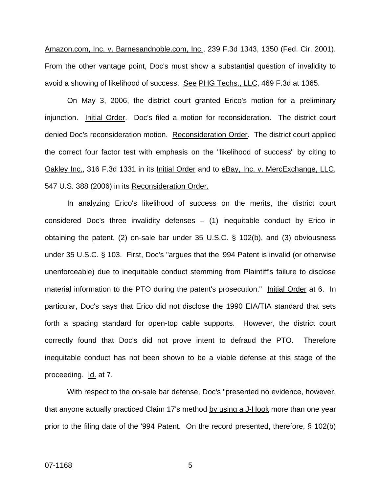Amazon.com, Inc. v. Barnesandnoble.com, Inc., 239 F.3d 1343, 1350 (Fed. Cir. 2001). From the other vantage point, Doc's must show a substantial question of invalidity to avoid a showing of likelihood of success. See PHG Techs., LLC, 469 F.3d at 1365.

 On May 3, 2006, the district court granted Erico's motion for a preliminary injunction. Initial Order. Doc's filed a motion for reconsideration. The district court denied Doc's reconsideration motion. Reconsideration Order. The district court applied the correct four factor test with emphasis on the "likelihood of success" by citing to Oakley Inc., 316 F.3d 1331 in its Initial Order and to eBay, Inc. v. MercExchange, LLC, 547 U.S. 388 (2006) in its Reconsideration Order.

 In analyzing Erico's likelihood of success on the merits, the district court considered Doc's three invalidity defenses – (1) inequitable conduct by Erico in obtaining the patent, (2) on-sale bar under 35 U.S.C. § 102(b), and (3) obviousness under 35 U.S.C. § 103. First, Doc's "argues that the '994 Patent is invalid (or otherwise unenforceable) due to inequitable conduct stemming from Plaintiff's failure to disclose material information to the PTO during the patent's prosecution." Initial Order at 6. In particular, Doc's says that Erico did not disclose the 1990 EIA/TIA standard that sets forth a spacing standard for open-top cable supports. However, the district court correctly found that Doc's did not prove intent to defraud the PTO. Therefore inequitable conduct has not been shown to be a viable defense at this stage of the proceeding. Id. at 7.

With respect to the on-sale bar defense, Doc's "presented no evidence, however, that anyone actually practiced Claim 17's method by using a J-Hook more than one year prior to the filing date of the '994 Patent. On the record presented, therefore, § 102(b)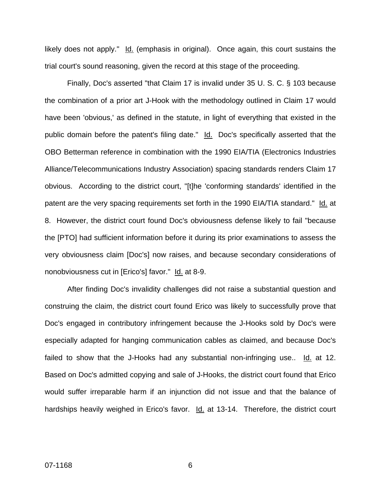likely does not apply." Id. (emphasis in original). Once again, this court sustains the trial court's sound reasoning, given the record at this stage of the proceeding.

Finally, Doc's asserted "that Claim 17 is invalid under 35 U. S. C. § 103 because the combination of a prior art J-Hook with the methodology outlined in Claim 17 would have been 'obvious,' as defined in the statute, in light of everything that existed in the public domain before the patent's filing date." Id. Doc's specifically asserted that the OBO Betterman reference in combination with the 1990 EIA/TIA (Electronics Industries Alliance/Telecommunications Industry Association) spacing standards renders Claim 17 obvious. According to the district court, "[t]he 'conforming standards' identified in the patent are the very spacing requirements set forth in the 1990 EIA/TIA standard." Id. at 8. However, the district court found Doc's obviousness defense likely to fail "because the [PTO] had sufficient information before it during its prior examinations to assess the very obviousness claim [Doc's] now raises, and because secondary considerations of nonobviousness cut in [Erico's] favor." Id. at 8-9.

After finding Doc's invalidity challenges did not raise a substantial question and construing the claim, the district court found Erico was likely to successfully prove that Doc's engaged in contributory infringement because the J-Hooks sold by Doc's were especially adapted for hanging communication cables as claimed, and because Doc's failed to show that the J-Hooks had any substantial non-infringing use..  $\underline{Id}$  at 12. Based on Doc's admitted copying and sale of J-Hooks, the district court found that Erico would suffer irreparable harm if an injunction did not issue and that the balance of hardships heavily weighed in Erico's favor. **Id.** at 13-14. Therefore, the district court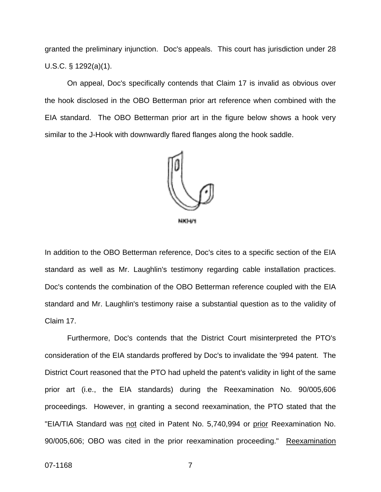granted the preliminary injunction. Doc's appeals. This court has jurisdiction under 28 U.S.C. § 1292(a)(1).

On appeal, Doc's specifically contends that Claim 17 is invalid as obvious over the hook disclosed in the OBO Betterman prior art reference when combined with the EIA standard. The OBO Betterman prior art in the figure below shows a hook very similar to the J-Hook with downwardly flared flanges along the hook saddle.



In addition to the OBO Betterman reference, Doc's cites to a specific section of the EIA standard as well as Mr. Laughlin's testimony regarding cable installation practices. Doc's contends the combination of the OBO Betterman reference coupled with the EIA standard and Mr. Laughlin's testimony raise a substantial question as to the validity of Claim 17.

Furthermore, Doc's contends that the District Court misinterpreted the PTO's consideration of the EIA standards proffered by Doc's to invalidate the '994 patent. The District Court reasoned that the PTO had upheld the patent's validity in light of the same prior art (i.e., the EIA standards) during the Reexamination No. 90/005,606 proceedings. However, in granting a second reexamination, the PTO stated that the "EIA/TIA Standard was not cited in Patent No. 5,740,994 or prior Reexamination No. 90/005,606; OBO was cited in the prior reexamination proceeding." Reexamination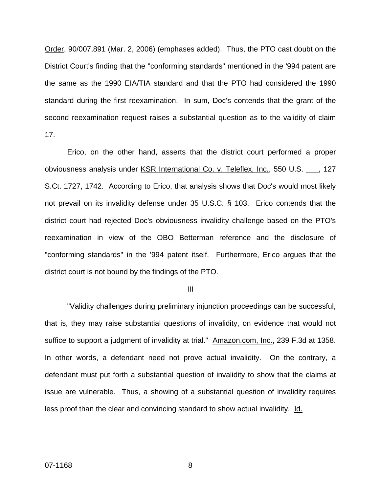Order, 90/007,891 (Mar. 2, 2006) (emphases added). Thus, the PTO cast doubt on the District Court's finding that the "conforming standards" mentioned in the '994 patent are the same as the 1990 EIA/TIA standard and that the PTO had considered the 1990 standard during the first reexamination. In sum, Doc's contends that the grant of the second reexamination request raises a substantial question as to the validity of claim 17.

Erico, on the other hand, asserts that the district court performed a proper obviousness analysis under KSR International Co. v. Teleflex, Inc., 550 U.S. \_\_\_, 127 S.Ct. 1727, 1742. According to Erico, that analysis shows that Doc's would most likely not prevail on its invalidity defense under 35 U.S.C. § 103. Erico contends that the district court had rejected Doc's obviousness invalidity challenge based on the PTO's reexamination in view of the OBO Betterman reference and the disclosure of "conforming standards" in the '994 patent itself. Furthermore, Erico argues that the district court is not bound by the findings of the PTO.

III

"Validity challenges during preliminary injunction proceedings can be successful, that is, they may raise substantial questions of invalidity, on evidence that would not suffice to support a judgment of invalidity at trial." Amazon.com, Inc., 239 F.3d at 1358. In other words, a defendant need not prove actual invalidity. On the contrary, a defendant must put forth a substantial question of invalidity to show that the claims at issue are vulnerable. Thus, a showing of a substantial question of invalidity requires less proof than the clear and convincing standard to show actual invalidity. Id.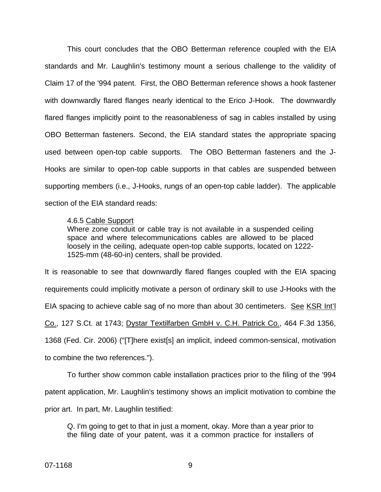This court concludes that the OBO Betterman reference coupled with the EIA standards and Mr. Laughlin's testimony mount a serious challenge to the validity of Claim 17 of the '994 patent. First, the OBO Betterman reference shows a hook fastener with downwardly flared flanges nearly identical to the Erico J-Hook. The downwardly flared flanges implicitly point to the reasonableness of sag in cables installed by using OBO Betterman fasteners. Second, the EIA standard states the appropriate spacing used between open-top cable supports. The OBO Betterman fasteners and the J-Hooks are similar to open-top cable supports in that cables are suspended between supporting members (i.e., J-Hooks, rungs of an open-top cable ladder). The applicable section of the EIA standard reads:

### 4.6.5 Cable Support

Where zone conduit or cable tray is not available in a suspended ceiling space and where telecommunications cables are allowed to be placed loosely in the ceiling, adequate open-top cable supports, located on 1222- 1525-mm (48-60-in) centers, shall be provided.

It is reasonable to see that downwardly flared flanges coupled with the EIA spacing requirements could implicitly motivate a person of ordinary skill to use J-Hooks with the EIA spacing to achieve cable sag of no more than about 30 centimeters. See KSR Int'l Co., 127 S.Ct. at 1743; Dystar Textilfarben GmbH v. C.H. Patrick Co., 464 F.3d 1356, 1368 (Fed. Cir. 2006) ("[T]here exist[s] an implicit, indeed common-sensical, motivation to combine the two references.").

To further show common cable installation practices prior to the filing of the '994 patent application, Mr. Laughlin's testimony shows an implicit motivation to combine the prior art. In part, Mr. Laughlin testified:

Q. I'm going to get to that in just a moment, okay. More than a year prior to the filing date of your patent, was it a common practice for installers of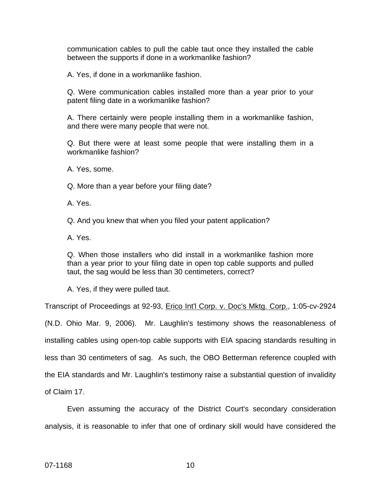communication cables to pull the cable taut once they installed the cable between the supports if done in a workmanlike fashion?

A. Yes, if done in a workmanlike fashion.

Q. Were communication cables installed more than a year prior to your patent filing date in a workmanlike fashion?

A. There certainly were people installing them in a workmanlike fashion, and there were many people that were not.

Q. But there were at least some people that were installing them in a workmanlike fashion?

A. Yes, some.

Q. More than a year before your filing date?

A. Yes.

Q. And you knew that when you filed your patent application?

A. Yes.

Q. When those installers who did install in a workmanlike fashion more than a year prior to your filing date in open top cable supports and pulled taut, the sag would be less than 30 centimeters, correct?

A. Yes, if they were pulled taut.

Transcript of Proceedings at 92-93, Erico Int'l Corp. v. Doc's Mktg. Corp., 1:05-cv-2924 (N.D. Ohio Mar. 9, 2006). Mr. Laughlin's testimony shows the reasonableness of installing cables using open-top cable supports with EIA spacing standards resulting in less than 30 centimeters of sag. As such, the OBO Betterman reference coupled with the EIA standards and Mr. Laughlin's testimony raise a substantial question of invalidity of Claim 17.

Even assuming the accuracy of the District Court's secondary consideration analysis, it is reasonable to infer that one of ordinary skill would have considered the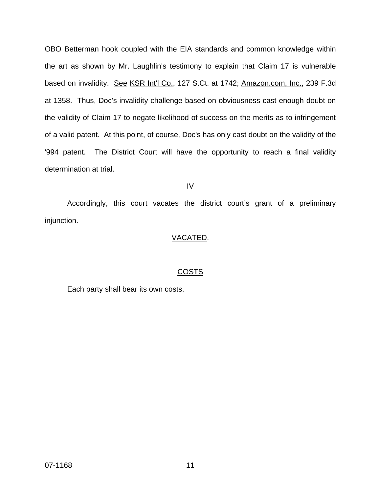OBO Betterman hook coupled with the EIA standards and common knowledge within the art as shown by Mr. Laughlin's testimony to explain that Claim 17 is vulnerable based on invalidity. See KSR Int'l Co., 127 S.Ct. at 1742; Amazon.com, Inc., 239 F.3d at 1358. Thus, Doc's invalidity challenge based on obviousness cast enough doubt on the validity of Claim 17 to negate likelihood of success on the merits as to infringement of a valid patent. At this point, of course, Doc's has only cast doubt on the validity of the '994 patent. The District Court will have the opportunity to reach a final validity determination at trial.

### IV

Accordingly, this court vacates the district court's grant of a preliminary injunction.

## VACATED.

## COSTS

Each party shall bear its own costs.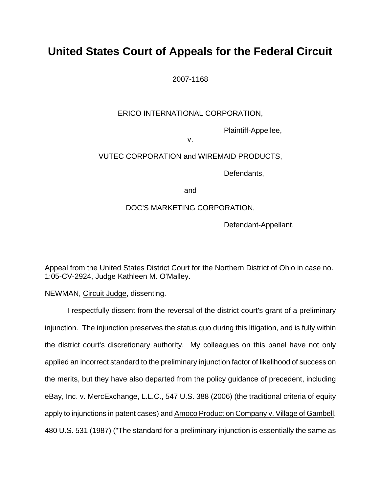# **United States Court of Appeals for the Federal Circuit**

2007-1168

## ERICO INTERNATIONAL CORPORATION,

Plaintiff-Appellee,

v.

# VUTEC CORPORATION and WIREMAID PRODUCTS,

Defendants,

and the contract of the contract of the contract of the contract of the contract of the contract of the contract of the contract of the contract of the contract of the contract of the contract of the contract of the contra

## DOC'S MARKETING CORPORATION,

Defendant-Appellant.

Appeal from the United States District Court for the Northern District of Ohio in case no. 1:05-CV-2924, Judge Kathleen M. O'Malley.

NEWMAN, Circuit Judge, dissenting.

I respectfully dissent from the reversal of the district court's grant of a preliminary injunction. The injunction preserves the status quo during this litigation, and is fully within the district court's discretionary authority. My colleagues on this panel have not only applied an incorrect standard to the preliminary injunction factor of likelihood of success on the merits, but they have also departed from the policy guidance of precedent, including eBay, Inc. v. MercExchange, L.L.C., 547 U.S. 388 (2006) (the traditional criteria of equity apply to injunctions in patent cases) and Amoco Production Company v. Village of Gambell, 480 U.S. 531 (1987) ("The standard for a preliminary injunction is essentially the same as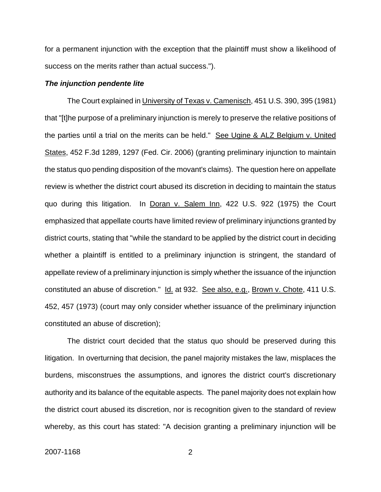for a permanent injunction with the exception that the plaintiff must show a likelihood of success on the merits rather than actual success.").

#### *The injunction pendente lite*

The Court explained in University of Texas v. Camenisch, 451 U.S. 390, 395 (1981) that "[t]he purpose of a preliminary injunction is merely to preserve the relative positions of the parties until a trial on the merits can be held." See Ugine & ALZ Belgium v. United States, 452 F.3d 1289, 1297 (Fed. Cir. 2006) (granting preliminary injunction to maintain the status quo pending disposition of the movant's claims). The question here on appellate review is whether the district court abused its discretion in deciding to maintain the status quo during this litigation. In Doran v. Salem Inn, 422 U.S. 922 (1975) the Court emphasized that appellate courts have limited review of preliminary injunctions granted by district courts, stating that "while the standard to be applied by the district court in deciding whether a plaintiff is entitled to a preliminary injunction is stringent, the standard of appellate review of a preliminary injunction is simply whether the issuance of the injunction constituted an abuse of discretion." Id. at 932. See also, e.g., Brown v. Chote, 411 U.S. 452, 457 (1973) (court may only consider whether issuance of the preliminary injunction constituted an abuse of discretion);

The district court decided that the status quo should be preserved during this litigation. In overturning that decision, the panel majority mistakes the law, misplaces the burdens, misconstrues the assumptions, and ignores the district court's discretionary authority and its balance of the equitable aspects. The panel majority does not explain how the district court abused its discretion, nor is recognition given to the standard of review whereby, as this court has stated: "A decision granting a preliminary injunction will be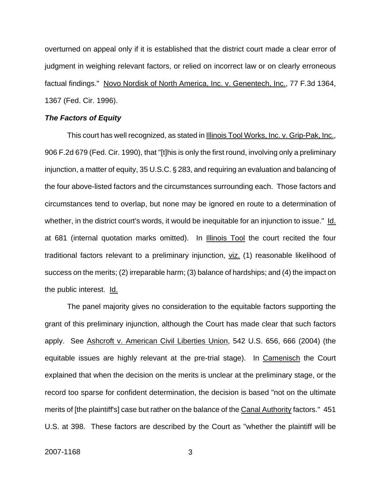overturned on appeal only if it is established that the district court made a clear error of judgment in weighing relevant factors, or relied on incorrect law or on clearly erroneous factual findings." Novo Nordisk of North America, Inc. v. Genentech, Inc., 77 F.3d 1364, 1367 (Fed. Cir. 1996).

### *The Factors of Equity*

This court has well recognized, as stated in Illinois Tool Works, Inc. v. Grip-Pak, Inc., 906 F.2d 679 (Fed. Cir. 1990), that "[t]his is only the first round, involving only a preliminary injunction, a matter of equity, 35 U.S.C. § 283, and requiring an evaluation and balancing of the four above-listed factors and the circumstances surrounding each. Those factors and circumstances tend to overlap, but none may be ignored en route to a determination of whether, in the district court's words, it would be inequitable for an injunction to issue." Id. at 681 (internal quotation marks omitted). In Illinois Tool the court recited the four traditional factors relevant to a preliminary injunction, viz. (1) reasonable likelihood of success on the merits; (2) irreparable harm; (3) balance of hardships; and (4) the impact on the public interest. Id.

The panel majority gives no consideration to the equitable factors supporting the grant of this preliminary injunction, although the Court has made clear that such factors apply. See Ashcroft v. American Civil Liberties Union, 542 U.S. 656, 666 (2004) (the equitable issues are highly relevant at the pre-trial stage). In Camenisch the Court explained that when the decision on the merits is unclear at the preliminary stage, or the record too sparse for confident determination, the decision is based "not on the ultimate merits of [the plaintiff's] case but rather on the balance of the Canal Authority factors." 451 U.S. at 398. These factors are described by the Court as "whether the plaintiff will be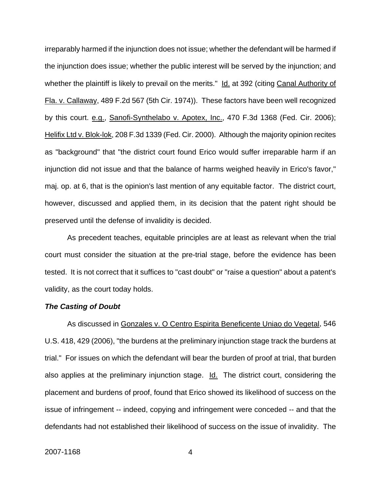irreparably harmed if the injunction does not issue; whether the defendant will be harmed if the injunction does issue; whether the public interest will be served by the injunction; and whether the plaintiff is likely to prevail on the merits." Id. at 392 (citing Canal Authority of Fla. v. Callaway, 489 F.2d 567 (5th Cir. 1974)). These factors have been well recognized by this court. e.g., Sanofi-Synthelabo v. Apotex, Inc., 470 F.3d 1368 (Fed. Cir. 2006); Helifix Ltd v. Blok-lok, 208 F.3d 1339 (Fed. Cir. 2000). Although the majority opinion recites as "background" that "the district court found Erico would suffer irreparable harm if an injunction did not issue and that the balance of harms weighed heavily in Erico's favor," maj. op. at 6, that is the opinion's last mention of any equitable factor. The district court, however, discussed and applied them, in its decision that the patent right should be preserved until the defense of invalidity is decided.

As precedent teaches, equitable principles are at least as relevant when the trial court must consider the situation at the pre-trial stage, before the evidence has been tested. It is not correct that it suffices to "cast doubt" or "raise a question" about a patent's validity, as the court today holds.

#### *The Casting of Doubt*

As discussed in Gonzales v. O Centro Espirita Beneficente Uniao do Vegetal, 546 U.S. 418, 429 (2006), "the burdens at the preliminary injunction stage track the burdens at trial." For issues on which the defendant will bear the burden of proof at trial, that burden also applies at the preliminary injunction stage. Id. The district court, considering the placement and burdens of proof, found that Erico showed its likelihood of success on the issue of infringement -- indeed, copying and infringement were conceded -- and that the defendants had not established their likelihood of success on the issue of invalidity. The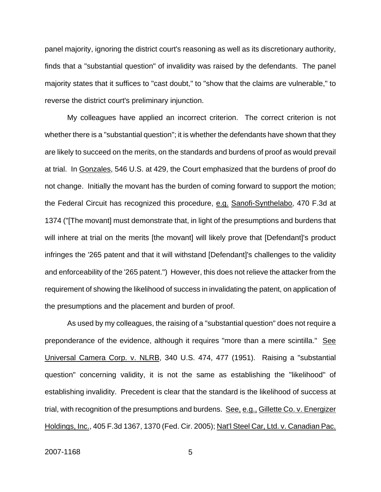panel majority, ignoring the district court's reasoning as well as its discretionary authority, finds that a "substantial question" of invalidity was raised by the defendants. The panel majority states that it suffices to "cast doubt," to "show that the claims are vulnerable," to reverse the district court's preliminary injunction.

My colleagues have applied an incorrect criterion. The correct criterion is not whether there is a "substantial question"; it is whether the defendants have shown that they are likely to succeed on the merits, on the standards and burdens of proof as would prevail at trial. In Gonzales, 546 U.S. at 429, the Court emphasized that the burdens of proof do not change. Initially the movant has the burden of coming forward to support the motion; the Federal Circuit has recognized this procedure, e.g. Sanofi-Synthelabo, 470 F.3d at 1374 ("[The movant] must demonstrate that, in light of the presumptions and burdens that will inhere at trial on the merits [the movant] will likely prove that [Defendant]'s product infringes the '265 patent and that it will withstand [Defendant]'s challenges to the validity and enforceability of the '265 patent.") However, this does not relieve the attacker from the requirement of showing the likelihood of success in invalidating the patent, on application of the presumptions and the placement and burden of proof.

As used by my colleagues, the raising of a "substantial question" does not require a preponderance of the evidence, although it requires "more than a mere scintilla." See Universal Camera Corp. v. NLRB, 340 U.S. 474, 477 (1951). Raising a "substantial question" concerning validity, it is not the same as establishing the "likelihood" of establishing invalidity. Precedent is clear that the standard is the likelihood of success at trial, with recognition of the presumptions and burdens. See, e.g., Gillette Co. v. Energizer Holdings, Inc., 405 F.3d 1367, 1370 (Fed. Cir. 2005); Nat'l Steel Car, Ltd. v. Canadian Pac.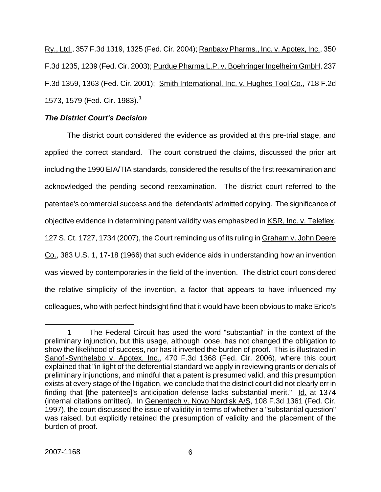Ry., Ltd., 357 F.3d 1319, 1325 (Fed. Cir. 2004); Ranbaxy Pharms., Inc. v. Apotex, Inc., 350 F.3d 1235, 1239 (Fed. Cir. 2003); Purdue Pharma L.P. v. Boehringer Ingelheim GmbH, 237 F.3d 1359, 1363 (Fed. Cir. 2001); Smith International, Inc. v. Hughes Tool Co., 718 F.2d [1](#page-17-0)573, 1579 (Fed. Cir. 1983).<sup>1</sup>

## *The District Court's Decision*

The district court considered the evidence as provided at this pre-trial stage, and applied the correct standard. The court construed the claims, discussed the prior art including the 1990 EIA/TIA standards, considered the results of the first reexamination and acknowledged the pending second reexamination. The district court referred to the patentee's commercial success and the defendants' admitted copying. The significance of objective evidence in determining patent validity was emphasized in KSR, Inc. v. Teleflex, 127 S. Ct. 1727, 1734 (2007), the Court reminding us of its ruling in Graham v. John Deere Co., 383 U.S. 1, 17-18 (1966) that such evidence aids in understanding how an invention was viewed by contemporaries in the field of the invention. The district court considered the relative simplicity of the invention, a factor that appears to have influenced my colleagues, who with perfect hindsight find that it would have been obvious to make Erico's

<span id="page-17-0"></span><sup>&</sup>lt;u>.</u> 1 The Federal Circuit has used the word "substantial" in the context of the preliminary injunction, but this usage, although loose, has not changed the obligation to show the likelihood of success, nor has it inverted the burden of proof. This is illustrated in Sanofi-Synthelabo v. Apotex, Inc., 470 F.3d 1368 (Fed. Cir. 2006), where this court explained that "in light of the deferential standard we apply in reviewing grants or denials of preliminary injunctions, and mindful that a patent is presumed valid, and this presumption exists at every stage of the litigation, we conclude that the district court did not clearly err in finding that [the patentee]'s anticipation defense lacks substantial merit." Id. at 1374 (internal citations omitted). In Genentech v. Novo Nordisk A/S, 108 F.3d 1361 (Fed. Cir. 1997), the court discussed the issue of validity in terms of whether a "substantial question" was raised, but explicitly retained the presumption of validity and the placement of the burden of proof.